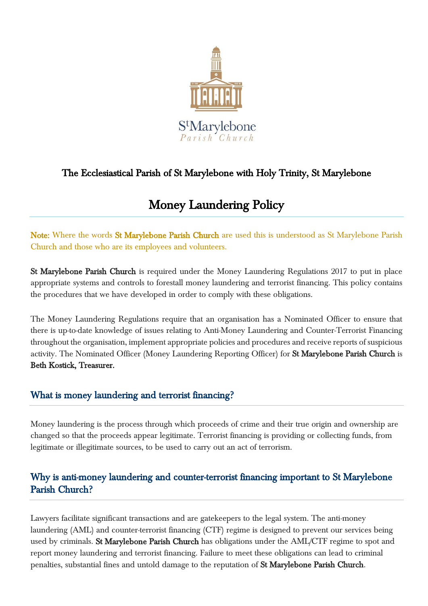

## The Ecclesiastical Parish of St Marylebone with Holy Trinity, St Marylebone

# Money Laundering Policy

Note: Where the words St Marylebone Parish Church are used this is understood as St Marylebone Parish Church and those who are its employees and volunteers.

St Marylebone Parish Church is required under the Money Laundering Regulations 2017 to put in place appropriate systems and controls to forestall money laundering and terrorist financing. This policy contains the procedures that we have developed in order to comply with these obligations.

The Money Laundering Regulations require that an organisation has a Nominated Officer to ensure that there is up-to-date knowledge of issues relating to Anti-Money Laundering and Counter-Terrorist Financing throughout the organisation, implement appropriate policies and procedures and receive reports of suspicious activity. The Nominated Officer (Money Laundering Reporting Officer) for St Marylebone Parish Church is Beth Kostick, Treasurer.

#### What is money laundering and terrorist financing?

Money laundering is the process through which proceeds of crime and their true origin and ownership are changed so that the proceeds appear legitimate. Terrorist financing is providing or collecting funds, from legitimate or illegitimate sources, to be used to carry out an act of terrorism.

## Why is anti-money laundering and counter-terrorist financing important to St Marylebone Parish Church?

Lawyers facilitate significant transactions and are gatekeepers to the legal system. The anti-money laundering (AML) and counter-terrorist financing (CTF) regime is designed to prevent our services being used by criminals. St Marylebone Parish Church has obligations under the AML/CTF regime to spot and report money laundering and terrorist financing. Failure to meet these obligations can lead to criminal penalties, substantial fines and untold damage to the reputation of St Marylebone Parish Church.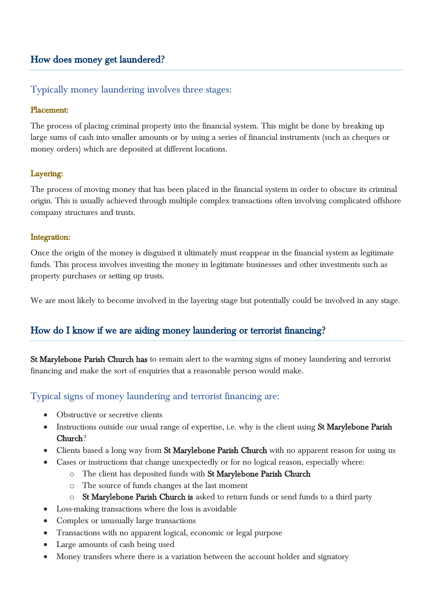## How does money get laundered?

#### Typically money laundering involves three stages:

#### Placement:

The process of placing criminal property into the financial system. This might be done by breaking up large sums of cash into smaller amounts or by using a series of financial instruments (such as cheques or money orders) which are deposited at different locations.

#### Layering:

The process of moving money that has been placed in the financial system in order to obscure its criminal origin. This is usually achieved through multiple complex transactions often involving complicated offshore company structures and trusts.

#### Integration:

Once the origin of the money is disguised it ultimately must reappear in the financial system as legitimate funds. This process involves investing the money in legitimate businesses and other investments such as property purchases or setting up trusts.

We are most likely to become involved in the layering stage but potentially could be involved in any stage.

#### How do I know if we are aiding money laundering or terrorist financing?

St Marylebone Parish Church has to remain alert to the warning signs of money laundering and terrorist financing and make the sort of enquiries that a reasonable person would make.

#### Typical signs of money laundering and terrorist financing are:

- Obstructive or secretive clients
- Instructions outside our usual range of expertise, i.e. why is the client using St Marylebone Parish Church?
- Clients based a long way from St Marylebone Parish Church with no apparent reason for using us
- Cases or instructions that change unexpectedly or for no logical reason, especially where:
	- o The client has deposited funds with St Marylebone Parish Church
	- o The source of funds changes at the last moment
	- o St Marylebone Parish Church is asked to return funds or send funds to a third party
- Loss-making transactions where the loss is avoidable
- Complex or unusually large transactions
- Transactions with no apparent logical, economic or legal purpose
- Large amounts of cash being used
- Money transfers where there is a variation between the account holder and signatory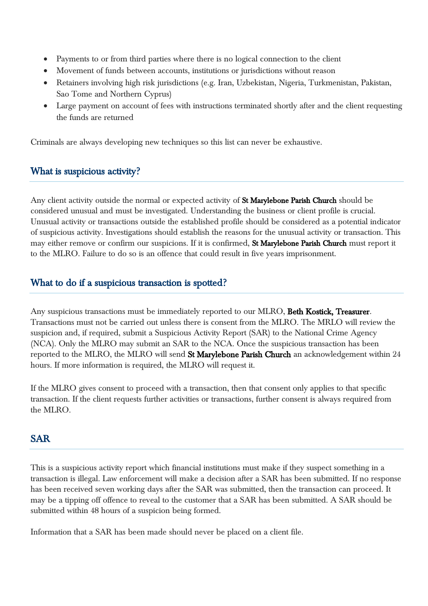- Payments to or from third parties where there is no logical connection to the client
- Movement of funds between accounts, institutions or jurisdictions without reason
- Retainers involving high risk jurisdictions (e.g. Iran, Uzbekistan, Nigeria, Turkmenistan, Pakistan, Sao Tome and Northern Cyprus)
- Large payment on account of fees with instructions terminated shortly after and the client requesting the funds are returned

Criminals are always developing new techniques so this list can never be exhaustive.

#### What is suspicious activity?

Any client activity outside the normal or expected activity of St Marylebone Parish Church should be considered unusual and must be investigated. Understanding the business or client profile is crucial. Unusual activity or transactions outside the established profile should be considered as a potential indicator of suspicious activity. Investigations should establish the reasons for the unusual activity or transaction. This may either remove or confirm our suspicions. If it is confirmed, St Marylebone Parish Church must report it to the MLRO. Failure to do so is an offence that could result in five years imprisonment.

#### What to do if a suspicious transaction is spotted?

Any suspicious transactions must be immediately reported to our MLRO, Beth Kostick, Treasurer. Transactions must not be carried out unless there is consent from the MLRO. The MRLO will review the suspicion and, if required, submit a Suspicious Activity Report (SAR) to the National Crime Agency (NCA). Only the MLRO may submit an SAR to the NCA. Once the suspicious transaction has been reported to the MLRO, the MLRO will send St Marylebone Parish Church an acknowledgement within 24 hours. If more information is required, the MLRO will request it.

If the MLRO gives consent to proceed with a transaction, then that consent only applies to that specific transaction. If the client requests further activities or transactions, further consent is always required from the MLRO.

## SAR

This is a suspicious activity report which financial institutions must make if they suspect something in a transaction is illegal. Law enforcement will make a decision after a SAR has been submitted. If no response has been received seven working days after the SAR was submitted, then the transaction can proceed. It may be a tipping off offence to reveal to the customer that a SAR has been submitted. A SAR should be submitted within 48 hours of a suspicion being formed.

Information that a SAR has been made should never be placed on a client file.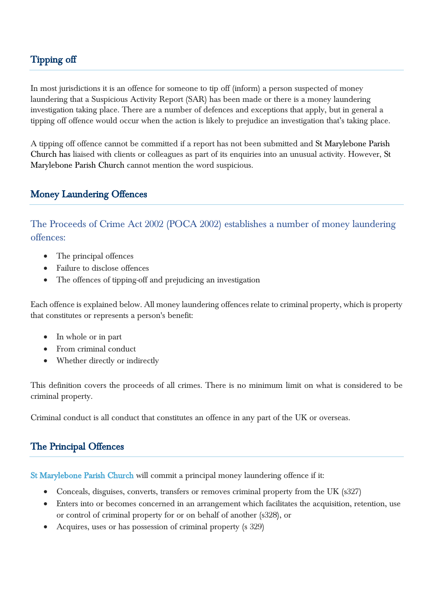## Tipping off

In most jurisdictions it is an offence for someone to tip off (inform) a person suspected of money laundering that a Suspicious Activity Report (SAR) has been made or there is a money laundering investigation taking place. There are a number of defences and exceptions that apply, but in general a tipping off offence would occur when the action is likely to prejudice an investigation that's taking place.

A tipping off offence cannot be committed if a report has not been submitted and St Marylebone Parish Church has liaised with clients or colleagues as part of its enquiries into an unusual activity. However, St Marylebone Parish Church cannot mention the word suspicious.

#### Money Laundering Offences

The Proceeds of Crime Act 2002 (POCA 2002) establishes a number of money laundering offences:

- The principal offences
- Failure to disclose offences
- The offences of tipping-off and prejudicing an investigation

Each offence is explained below. All money laundering offences relate to criminal property, which is property that constitutes or represents a person's benefit:

- In whole or in part
- From criminal conduct
- Whether directly or indirectly

This definition covers the proceeds of all crimes. There is no minimum limit on what is considered to be criminal property.

Criminal conduct is all conduct that constitutes an offence in any part of the UK or overseas.

#### The Principal Offences

St Marylebone Parish Church will commit a principal money laundering offence if it:

- Conceals, disguises, converts, transfers or removes criminal property from the UK (s327)
- Enters into or becomes concerned in an arrangement which facilitates the acquisition, retention, use or control of criminal property for or on behalf of another (s328), or
- Acquires, uses or has possession of criminal property (s 329)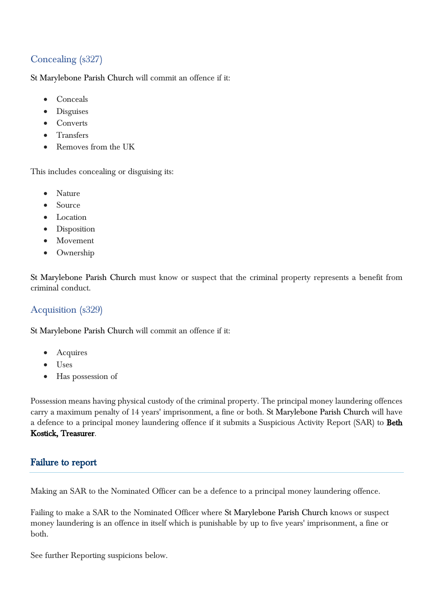## Concealing (s327)

St Marylebone Parish Church will commit an offence if it:

- Conceals
- Disguises
- **Converts**
- **•** Transfers
- Removes from the UK

This includes concealing or disguising its:

- Nature
- Source
- Location
- Disposition
- Movement
- Ownership

St Marylebone Parish Church must know or suspect that the criminal property represents a benefit from criminal conduct.

#### Acquisition (s329)

St Marylebone Parish Church will commit an offence if it:

- Acquires
- Uses
- Has possession of

Possession means having physical custody of the criminal property. The principal money laundering offences carry a maximum penalty of 14 years' imprisonment, a fine or both. St Marylebone Parish Church will have a defence to a principal money laundering offence if it submits a Suspicious Activity Report (SAR) to Beth Kostick, Treasurer.

#### Failure to report

Making an SAR to the Nominated Officer can be a defence to a principal money laundering offence.

Failing to make a SAR to the Nominated Officer where St Marylebone Parish Church knows or suspect money laundering is an offence in itself which is punishable by up to five years' imprisonment, a fine or both.

See further Reporting suspicions below.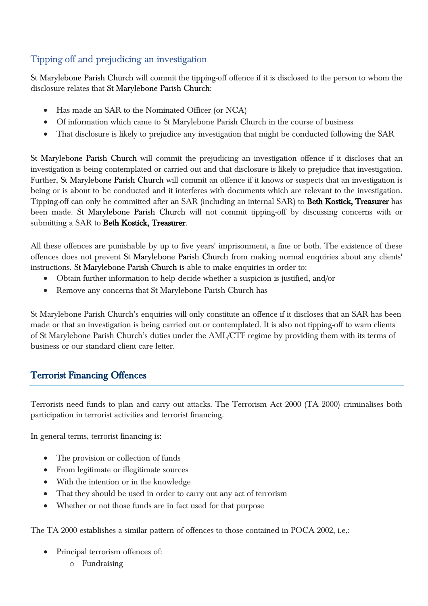## Tipping-off and prejudicing an investigation

St Marylebone Parish Church will commit the tipping-off offence if it is disclosed to the person to whom the disclosure relates that St Marylebone Parish Church:

- Has made an SAR to the Nominated Officer (or NCA)
- Of information which came to St Marylebone Parish Church in the course of business
- That disclosure is likely to prejudice any investigation that might be conducted following the SAR

St Marylebone Parish Church will commit the prejudicing an investigation offence if it discloses that an investigation is being contemplated or carried out and that disclosure is likely to prejudice that investigation. Further, St Marylebone Parish Church will commit an offence if it knows or suspects that an investigation is being or is about to be conducted and it interferes with documents which are relevant to the investigation. Tipping-off can only be committed after an SAR (including an internal SAR) to Beth Kostick, Treasurer has been made. St Marylebone Parish Church will not commit tipping-off by discussing concerns with or submitting a SAR to Beth Kostick, Treasurer.

All these offences are punishable by up to five years' imprisonment, a fine or both. The existence of these offences does not prevent St Marylebone Parish Church from making normal enquiries about any clients' instructions. St Marylebone Parish Church is able to make enquiries in order to:

- Obtain further information to help decide whether a suspicion is justified, and/or
- Remove any concerns that St Marylebone Parish Church has

St Marylebone Parish Church's enquiries will only constitute an offence if it discloses that an SAR has been made or that an investigation is being carried out or contemplated. It is also not tipping-off to warn clients of St Marylebone Parish Church's duties under the AML/CTF regime by providing them with its terms of business or our standard client care letter.

## Terrorist Financing Offences

Terrorists need funds to plan and carry out attacks. The Terrorism Act 2000 (TA 2000) criminalises both participation in terrorist activities and terrorist financing.

In general terms, terrorist financing is:

- The provision or collection of funds
- From legitimate or illegitimate sources
- With the intention or in the knowledge
- That they should be used in order to carry out any act of terrorism
- Whether or not those funds are in fact used for that purpose

The TA 2000 establishes a similar pattern of offences to those contained in POCA 2002, i.e,:

- Principal terrorism offences of:
	- o Fundraising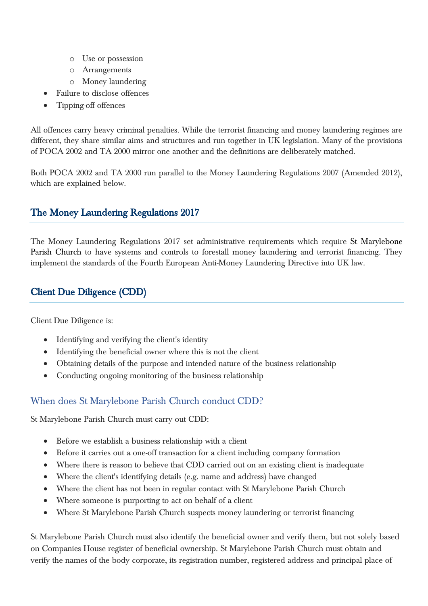- o Use or possession
- o Arrangements
- o Money laundering
- Failure to disclose offences
- Tipping-off offences

All offences carry heavy criminal penalties. While the terrorist financing and money laundering regimes are different, they share similar aims and structures and run together in UK legislation. Many of the provisions of POCA 2002 and TA 2000 mirror one another and the definitions are deliberately matched.

Both POCA 2002 and TA 2000 run parallel to the Money Laundering Regulations 2007 (Amended 2012), which are explained below.

### The Money Laundering Regulations 2017

The Money Laundering Regulations 2017 set administrative requirements which require St Marylebone Parish Church to have systems and controls to forestall money laundering and terrorist financing. They implement the standards of the Fourth European Anti-Money Laundering Directive into UK law.

## Client Due Diligence (CDD)

Client Due Diligence is:

- Identifying and verifying the client's identity
- Identifying the beneficial owner where this is not the client
- Obtaining details of the purpose and intended nature of the business relationship
- Conducting ongoing monitoring of the business relationship

#### When does St Marylebone Parish Church conduct CDD?

St Marylebone Parish Church must carry out CDD:

- Before we establish a business relationship with a client
- Before it carries out a one-off transaction for a client including company formation
- Where there is reason to believe that CDD carried out on an existing client is inadequate
- Where the client's identifying details (e.g. name and address) have changed
- Where the client has not been in regular contact with St Marylebone Parish Church
- Where someone is purporting to act on behalf of a client
- Where St Marylebone Parish Church suspects money laundering or terrorist financing

St Marylebone Parish Church must also identify the beneficial owner and verify them, but not solely based on Companies House register of beneficial ownership. St Marylebone Parish Church must obtain and verify the names of the body corporate, its registration number, registered address and principal place of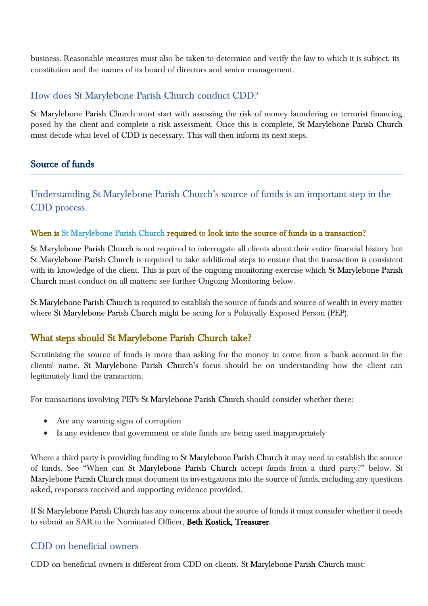business. Reasonable measures must also be taken to determine and verify the law to which it is subject, its constitution and the names of its board of directors and senior management.

#### How does St Marylebone Parish Church conduct CDD?

St Marylebone Parish Church must start with assessing the risk of money laundering or terrorist financing posed by the client and complete a risk assessment. Once this is complete, St Marylebone Parish Church must decide what level of CDD is necessary. This will then inform its next steps.

## Source of funds

Understanding St Marylebone Parish Church's source of funds is an important step in the CDD process.

#### When is St Marylebone Parish Church required to look into the source of funds in a transaction?

St Marylebone Parish Church is not required to interrogate all clients about their entire financial history but St Marylebone Parish Church is required to take additional steps to ensure that the transaction is consistent with its knowledge of the client. This is part of the ongoing monitoring exercise which St Marylebone Parish Church must conduct on all matters; see further Ongoing Monitoring below.

St Marylebone Parish Church is required to establish the source of funds and source of wealth in every matter where St Marylebone Parish Church might be acting for a Politically Exposed Person (PEP).

## What steps should St Marylebone Parish Church take?

Scrutinising the source of funds is more than asking for the money to come from a bank account in the clients' name. St Marylebone Parish Church's focus should be on understanding how the client can legitimately fund the transaction.

For transactions involving PEPs St Marylebone Parish Church should consider whether there:

- Are any warning signs of corruption
- Is any evidence that government or state funds are being used inappropriately

Where a third party is providing funding to St Marylebone Parish Church it may need to establish the source of funds. See "When can St Marylebone Parish Church accept funds from a third party?" below. St Marylebone Parish Church must document its investigations into the source of funds, including any questions asked, responses received and supporting evidence provided.

If St Marylebone Parish Church has any concerns about the source of funds it must consider whether it needs to submit an SAR to the Nominated Officer, Beth Kostick, Treasurer.

#### CDD on beneficial owners

CDD on beneficial owners is different from CDD on clients. St Marylebone Parish Church must: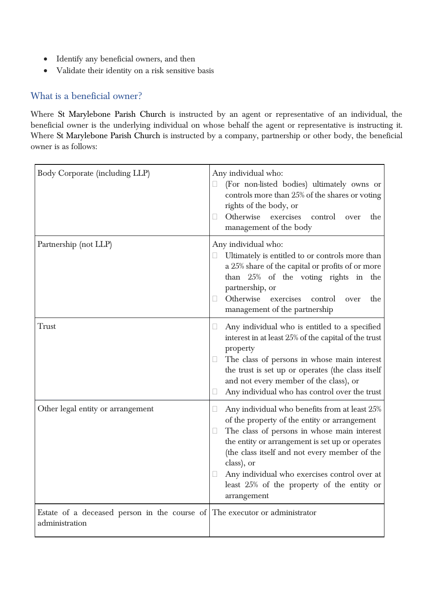- Identify any beneficial owners, and then
- Validate their identity on a risk sensitive basis

#### What is a beneficial owner?

Where St Marylebone Parish Church is instructed by an agent or representative of an individual, the beneficial owner is the underlying individual on whose behalf the agent or representative is instructing it. Where St Marylebone Parish Church is instructed by a company, partnership or other body, the beneficial owner is as follows:

| Body Corporate (including LLP)                                                               | Any individual who:<br>(For non-listed bodies) ultimately owns or<br>Ц<br>controls more than 25% of the shares or voting<br>rights of the body, or<br>Otherwise<br>exercises<br>control over<br>the<br>management of the body                                                                                                                                                              |
|----------------------------------------------------------------------------------------------|--------------------------------------------------------------------------------------------------------------------------------------------------------------------------------------------------------------------------------------------------------------------------------------------------------------------------------------------------------------------------------------------|
| Partnership (not LLP)                                                                        | Any individual who:<br>Ultimately is entitled to or controls more than<br>U.<br>a 25% share of the capital or profits of or more<br>than 25% of the voting rights in the<br>partnership, or<br>Otherwise exercises<br>control<br>the<br>Ш<br>over<br>management of the partnership                                                                                                         |
| <b>Trust</b>                                                                                 | Any individual who is entitled to a specified<br>$\Box$<br>interest in at least 25% of the capital of the trust<br>property<br>The class of persons in whose main interest<br>the trust is set up or operates (the class itself<br>and not every member of the class), or<br>Any individual who has control over the trust<br>$\Box$                                                       |
| Other legal entity or arrangement                                                            | Any individual who benefits from at least 25%<br>$\Box$<br>of the property of the entity or arrangement<br>The class of persons in whose main interest<br>the entity or arrangement is set up or operates<br>(the class itself and not every member of the<br>class), or<br>Any individual who exercises control over at<br>Ш<br>least 25% of the property of the entity or<br>arrangement |
| Estate of a deceased person in the course of The executor or administrator<br>administration |                                                                                                                                                                                                                                                                                                                                                                                            |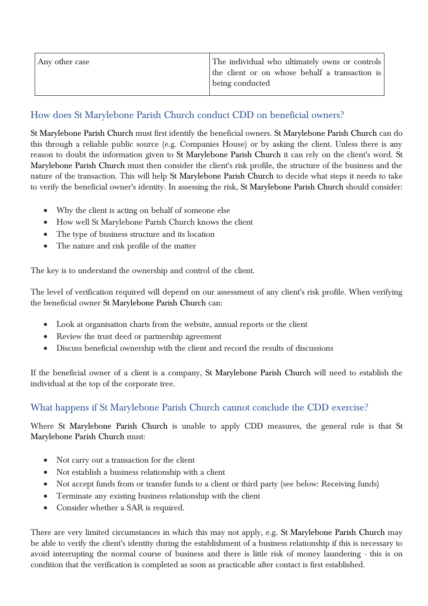| Any other case | The individual who ultimately owns or controls |
|----------------|------------------------------------------------|
|                | the client or on whose behalf a transaction is |
|                | being conducted                                |
|                |                                                |

### How does St Marylebone Parish Church conduct CDD on beneficial owners?

St Marylebone Parish Church must first identify the beneficial owners. St Marylebone Parish Church can do this through a reliable public source (e.g. Companies House) or by asking the client. Unless there is any reason to doubt the information given to St Marylebone Parish Church it can rely on the client's word. St Marylebone Parish Church must then consider the client's risk profile, the structure of the business and the nature of the transaction. This will help St Marylebone Parish Church to decide what steps it needs to take to verify the beneficial owner's identity. In assessing the risk, St Marylebone Parish Church should consider:

- Why the client is acting on behalf of someone else
- How well St Marylebone Parish Church knows the client
- The type of business structure and its location
- The nature and risk profile of the matter

The key is to understand the ownership and control of the client.

The level of verification required will depend on our assessment of any client's risk profile. When verifying the beneficial owner St Marylebone Parish Church can:

- Look at organisation charts from the website, annual reports or the client
- Review the trust deed or partnership agreement
- Discuss beneficial ownership with the client and record the results of discussions

If the beneficial owner of a client is a company, St Marylebone Parish Church will need to establish the individual at the top of the corporate tree.

## What happens if St Marylebone Parish Church cannot conclude the CDD exercise?

Where St Marylebone Parish Church is unable to apply CDD measures, the general rule is that St Marylebone Parish Church must:

- Not carry out a transaction for the client
- Not establish a business relationship with a client
- Not accept funds from or transfer funds to a client or third party (see below: Receiving funds)
- Terminate any existing business relationship with the client
- Consider whether a SAR is required.

There are very limited circumstances in which this may not apply, e.g. St Marylebone Parish Church may be able to verify the client's identity during the establishment of a business relationship if this is necessary to avoid interrupting the normal course of business and there is little risk of money laundering - this is on condition that the verification is completed as soon as practicable after contact is first established.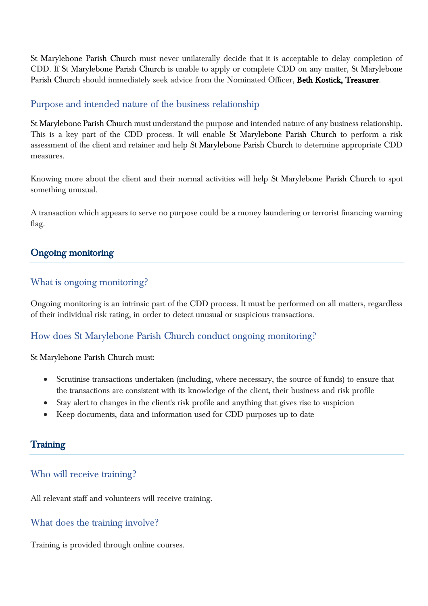St Marylebone Parish Church must never unilaterally decide that it is acceptable to delay completion of CDD. If St Marylebone Parish Church is unable to apply or complete CDD on any matter, St Marylebone Parish Church should immediately seek advice from the Nominated Officer, Beth Kostick, Treasurer.

#### Purpose and intended nature of the business relationship

St Marylebone Parish Church must understand the purpose and intended nature of any business relationship. This is a key part of the CDD process. It will enable St Marylebone Parish Church to perform a risk assessment of the client and retainer and help St Marylebone Parish Church to determine appropriate CDD measures.

Knowing more about the client and their normal activities will help St Marylebone Parish Church to spot something unusual.

A transaction which appears to serve no purpose could be a money laundering or terrorist financing warning flag.

#### Ongoing monitoring

#### What is ongoing monitoring?

Ongoing monitoring is an intrinsic part of the CDD process. It must be performed on all matters, regardless of their individual risk rating, in order to detect unusual or suspicious transactions.

#### How does St Marylebone Parish Church conduct ongoing monitoring?

St Marylebone Parish Church must:

- Scrutinise transactions undertaken (including, where necessary, the source of funds) to ensure that the transactions are consistent with its knowledge of the client, their business and risk profile
- Stay alert to changes in the client's risk profile and anything that gives rise to suspicion
- Keep documents, data and information used for CDD purposes up to date

#### **Training**

#### Who will receive training?

All relevant staff and volunteers will receive training.

#### What does the training involve?

Training is provided through online courses.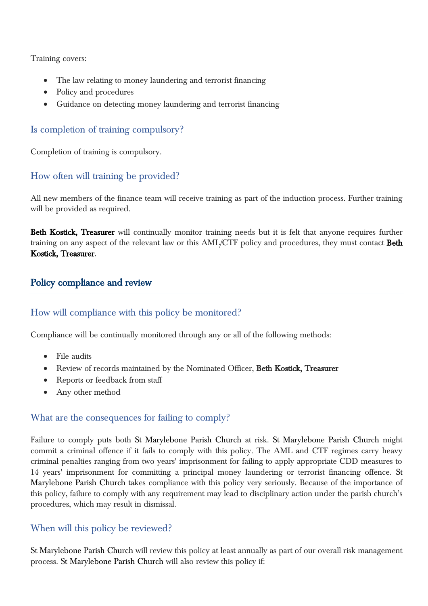Training covers:

- The law relating to money laundering and terrorist financing
- Policy and procedures
- Guidance on detecting money laundering and terrorist financing

#### Is completion of training compulsory?

Completion of training is compulsory.

### How often will training be provided?

All new members of the finance team will receive training as part of the induction process. Further training will be provided as required.

Beth Kostick, Treasurer will continually monitor training needs but it is felt that anyone requires further training on any aspect of the relevant law or this AML/CTF policy and procedures, they must contact Beth Kostick, Treasurer.

#### Policy compliance and review

#### How will compliance with this policy be monitored?

Compliance will be continually monitored through any or all of the following methods:

- File audits
- Review of records maintained by the Nominated Officer, Beth Kostick, Treasurer
- Reports or feedback from staff
- Any other method

#### What are the consequences for failing to comply?

Failure to comply puts both St Marylebone Parish Church at risk. St Marylebone Parish Church might commit a criminal offence if it fails to comply with this policy. The AML and CTF regimes carry heavy criminal penalties ranging from two years' imprisonment for failing to apply appropriate CDD measures to 14 years' imprisonment for committing a principal money laundering or terrorist financing offence. St Marylebone Parish Church takes compliance with this policy very seriously. Because of the importance of this policy, failure to comply with any requirement may lead to disciplinary action under the parish church's procedures, which may result in dismissal.

#### When will this policy be reviewed?

St Marylebone Parish Church will review this policy at least annually as part of our overall risk management process. St Marylebone Parish Church will also review this policy if: